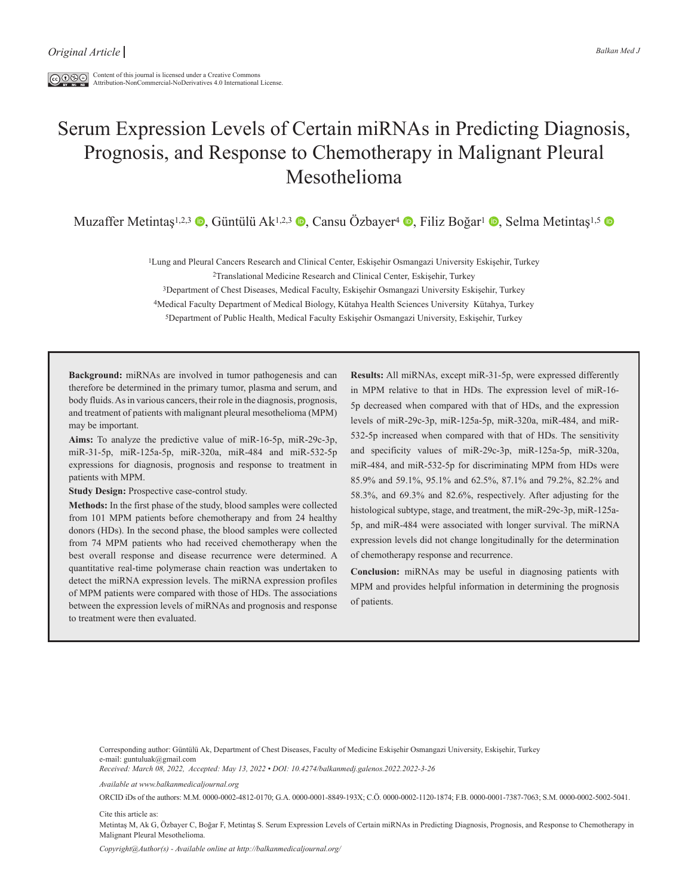$\boxed{\text{co}\,\mathbb{O}\,\mathbb{S}\oplus\,}$  Content of this journal is licensed under a Creative Commons Attribution-NonCommercial-NoDerivatives 4.0 International License.

# Serum Expression Levels of Certain miRNAs in Predicting Diagnosis, Prognosis, and Response to Chemotherapy in Malignant Pleural Mesothelioma

Muzaffer Metintaş<sup>1,2,3</sup> , Güntülü Ak<sup>1,2,3</sup> , Cansu Özbayer<sup>4</sup> , Filiz Boğar<sup>ı</sup> , Selma Metintaş<sup>1,5</sup> D

1Lung and Pleural Cancers Research and Clinical Center, Eskişehir Osmangazi University Eskişehir, Turkey

2Translational Medicine Research and Clinical Center, Eskişehir, Turkey

3Department of Chest Diseases, Medical Faculty, Eskişehir Osmangazi University Eskişehir, Turkey

4Medical Faculty Department of Medical Biology, Kütahya Health Sciences University Kütahya, Turkey

5Department of Public Health, Medical Faculty Eskişehir Osmangazi University, Eskişehir, Turkey

**Background:** miRNAs are involved in tumor pathogenesis and can therefore be determined in the primary tumor, plasma and serum, and body fluids. As in various cancers, their role in the diagnosis, prognosis, and treatment of patients with malignant pleural mesothelioma (MPM) may be important.

**Aims:** To analyze the predictive value of miR-16-5p, miR-29c-3p, miR-31-5p, miR-125a-5p, miR-320a, miR-484 and miR-532-5p expressions for diagnosis, prognosis and response to treatment in patients with MPM.

**Study Design:** Prospective case-control study.

**Methods:** In the first phase of the study, blood samples were collected from 101 MPM patients before chemotherapy and from 24 healthy donors (HDs). In the second phase, the blood samples were collected from 74 MPM patients who had received chemotherapy when the best overall response and disease recurrence were determined. A quantitative real-time polymerase chain reaction was undertaken to detect the miRNA expression levels. The miRNA expression profiles of MPM patients were compared with those of HDs. The associations between the expression levels of miRNAs and prognosis and response to treatment were then evaluated.

**Results:** All miRNAs, except miR-31-5p, were expressed differently in MPM relative to that in HDs. The expression level of miR-16- 5p decreased when compared with that of HDs, and the expression levels of miR-29c-3p, miR-125a-5p, miR-320a, miR-484, and miR-532-5p increased when compared with that of HDs. The sensitivity and specificity values of miR-29c-3p, miR-125a-5p, miR-320a, miR-484, and miR-532-5p for discriminating MPM from HDs were 85.9% and 59.1%, 95.1% and 62.5%, 87.1% and 79.2%, 82.2% and 58.3%, and 69.3% and 82.6%, respectively. After adjusting for the histological subtype, stage, and treatment, the miR-29c-3p, miR-125a-5p, and miR-484 were associated with longer survival. The miRNA expression levels did not change longitudinally for the determination of chemotherapy response and recurrence.

**Conclusion:** miRNAs may be useful in diagnosing patients with MPM and provides helpful information in determining the prognosis of patients.

Corresponding author: Güntülü Ak, Department of Chest Diseases, Faculty of Medicine Eskişehir Osmangazi University, Eskişehir, Turkey e-mail: guntuluak@gmail.com

*Received: March 08, 2022, Accepted: May 13, 2022 • DOI: 10.4274/balkanmedj.galenos.2022.2022-3-26*

*Available at www.balkanmedicaljournal.org*

ORCID iDs of the authors: M.M. 0000-0002-4812-0170; G.A. 0000-0001-8849-193X; C.Ö. 0000-0002-1120-1874; F.B. 0000-0001-7387-7063; S.M. 0000-0002-5002-5041.

Cite this article as:

Metintaş M, Ak G, Özbayer C, Boğar F, Metintaş S. Serum Expression Levels of Certain miRNAs in Predicting Diagnosis, Prognosis, and Response to Chemotherapy in Malignant Pleural Mesothelioma.

*Copyright@Author(s) - Available online at http://balkanmedicaljournal.org/*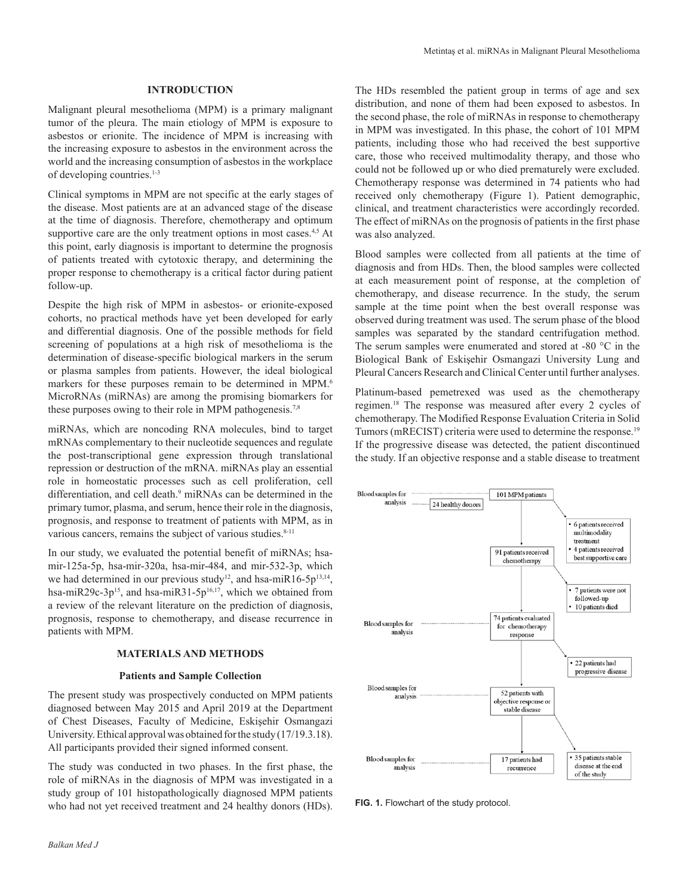# **INTRODUCTION**

Malignant pleural mesothelioma (MPM) is a primary malignant tumor of the pleura. The main etiology of MPM is exposure to asbestos or erionite. The incidence of MPM is increasing with the increasing exposure to asbestos in the environment across the world and the increasing consumption of asbestos in the workplace of developing countries.<sup>1-3</sup>

Clinical symptoms in MPM are not specific at the early stages of the disease. Most patients are at an advanced stage of the disease at the time of diagnosis. Therefore, chemotherapy and optimum supportive care are the only treatment options in most cases.<sup>4,5</sup> At this point, early diagnosis is important to determine the prognosis of patients treated with cytotoxic therapy, and determining the proper response to chemotherapy is a critical factor during patient follow-up.

Despite the high risk of MPM in asbestos- or erionite-exposed cohorts, no practical methods have yet been developed for early and differential diagnosis. One of the possible methods for field screening of populations at a high risk of mesothelioma is the determination of disease-specific biological markers in the serum or plasma samples from patients. However, the ideal biological markers for these purposes remain to be determined in MPM.<sup>6</sup> MicroRNAs (miRNAs) are among the promising biomarkers for these purposes owing to their role in MPM pathogenesis.7,8

miRNAs, which are noncoding RNA molecules, bind to target mRNAs complementary to their nucleotide sequences and regulate the post-transcriptional gene expression through translational repression or destruction of the mRNA. miRNAs play an essential role in homeostatic processes such as cell proliferation, cell differentiation, and cell death.<sup>9</sup> miRNAs can be determined in the primary tumor, plasma, and serum, hence their role in the diagnosis, prognosis, and response to treatment of patients with MPM, as in various cancers, remains the subject of various studies.<sup>8-11</sup>

In our study, we evaluated the potential benefit of miRNAs; hsamir-125a-5p, hsa-mir-320a, hsa-mir-484, and mir-532-3p, which we had determined in our previous study<sup>12</sup>, and hsa-miR16-5p<sup>13,14</sup>, hsa-miR29c-3p<sup>15</sup>, and hsa-miR31-5p<sup>16,17</sup>, which we obtained from a review of the relevant literature on the prediction of diagnosis, prognosis, response to chemotherapy, and disease recurrence in patients with MPM.

#### **MATERIALS AND METHODS**

#### **Patients and Sample Collection**

The present study was prospectively conducted on MPM patients diagnosed between May 2015 and April 2019 at the Department of Chest Diseases, Faculty of Medicine, Eskişehir Osmangazi University. Ethical approval was obtained for the study (17/19.3.18). All participants provided their signed informed consent.

The study was conducted in two phases. In the first phase, the role of miRNAs in the diagnosis of MPM was investigated in a study group of 101 histopathologically diagnosed MPM patients who had not yet received treatment and 24 healthy donors (HDs).

The HDs resembled the patient group in terms of age and sex distribution, and none of them had been exposed to asbestos. In the second phase, the role of miRNAs in response to chemotherapy in MPM was investigated. In this phase, the cohort of 101 MPM patients, including those who had received the best supportive care, those who received multimodality therapy, and those who could not be followed up or who died prematurely were excluded. Chemotherapy response was determined in 74 patients who had received only chemotherapy (Figure 1). Patient demographic, clinical, and treatment characteristics were accordingly recorded. The effect of miRNAs on the prognosis of patients in the first phase was also analyzed.

Blood samples were collected from all patients at the time of diagnosis and from HDs. Then, the blood samples were collected at each measurement point of response, at the completion of chemotherapy, and disease recurrence. In the study, the serum sample at the time point when the best overall response was observed during treatment was used. The serum phase of the blood samples was separated by the standard centrifugation method. The serum samples were enumerated and stored at -80 °C in the Biological Bank of Eskişehir Osmangazi University Lung and Pleural Cancers Research and Clinical Center until further analyses.

Platinum-based pemetrexed was used as the chemotherapy regimen.18 The response was measured after every 2 cycles of chemotherapy. The Modified Response Evaluation Criteria in Solid Tumors (mRECIST) criteria were used to determine the response.<sup>19</sup> If the progressive disease was detected, the patient discontinued the study. If an objective response and a stable disease to treatment



**FIG. 1.** Flowchart of the study protocol.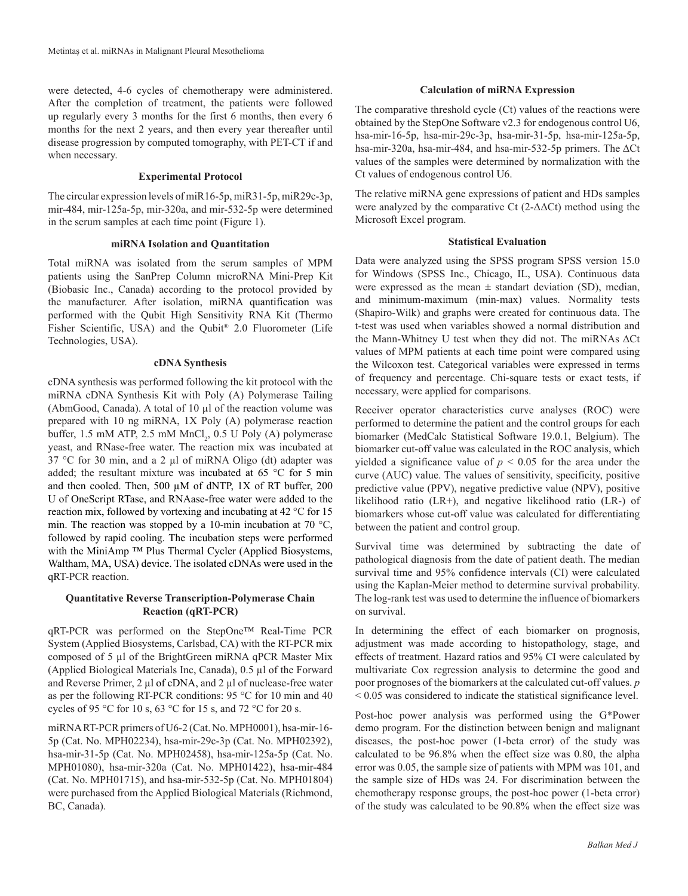were detected, 4-6 cycles of chemotherapy were administered. After the completion of treatment, the patients were followed up regularly every 3 months for the first 6 months, then every 6 months for the next 2 years, and then every year thereafter until disease progression by computed tomography, with PET-CT if and when necessary.

## **Experimental Protocol**

The circular expression levels of miR16-5p, miR31-5p, miR29c-3p, mir-484, mir-125a-5p, mir-320a, and mir-532-5p were determined in the serum samples at each time point (Figure 1).

#### **miRNA Isolation and Quantitation**

Total miRNA was isolated from the serum samples of MPM patients using the SanPrep Column microRNA Mini-Prep Kit (Biobasic Inc., Canada) according to the protocol provided by the manufacturer. After isolation, miRNA quantification was performed with the Qubit High Sensitivity RNA Kit (Thermo Fisher Scientific, USA) and the Qubit® 2.0 Fluorometer (Life Technologies, USA).

#### **cDNA Synthesis**

cDNA synthesis was performed following the kit protocol with the miRNA cDNA Synthesis Kit with Poly (A) Polymerase Tailing (AbmGood, Canada). A total of 10 µl of the reaction volume was prepared with 10 ng miRNA, 1X Poly (A) polymerase reaction buffer,  $1.5 \text{ mM ATP}$ ,  $2.5 \text{ mM MnCl}_2$ ,  $0.5 \text{ U Poly}$  (A) polymerase yeast, and RNase-free water. The reaction mix was incubated at 37 °C for 30 min, and a 2  $\mu$ l of miRNA Oligo (dt) adapter was added; the resultant mixture was incubated at 65 °C for 5 min and then cooled. Then, 500  $\mu$ M of dNTP, 1X of RT buffer, 200 U of OneScript RTase, and RNAase-free water were added to the reaction mix, followed by vortexing and incubating at 42 °C for 15 min. The reaction was stopped by a 10-min incubation at 70  $^{\circ}$ C, followed by rapid cooling. The incubation steps were performed with the MiniAmp ™ Plus Thermal Cycler (Applied Biosystems, Waltham, MA, USA) device. The isolated cDNAs were used in the qRT-PCR reaction.

# **Quantitative Reverse Transcription-Polymerase Chain Reaction (qRT-PCR)**

qRT-PCR was performed on the StepOne™ Real-Time PCR System (Applied Biosystems, Carlsbad, CA) with the RT-PCR mix composed of 5 µl of the BrightGreen miRNA qPCR Master Mix (Applied Biological Materials Inc, Canada), 0.5 µl of the Forward and Reverse Primer, 2 µl of cDNA, and 2 µl of nuclease-free water as per the following RT-PCR conditions: 95 °C for 10 min and 40 cycles of 95 °C for 10 s, 63 °C for 15 s, and 72 °C for 20 s.

miRNA RT-PCR primers of U6-2 (Cat. No. MPH0001), hsa-mir-16- 5p (Cat. No. MPH02234), hsa-mir-29c-3p (Cat. No. MPH02392), hsa-mir-31-5p (Cat. No. MPH02458), hsa-mir-125a-5p (Cat. No. MPH01080), hsa-mir-320a (Cat. No. MPH01422), hsa-mir-484 (Cat. No. MPH01715), and hsa-mir-532-5p (Cat. No. MPH01804) were purchased from the Applied Biological Materials (Richmond, BC, Canada).

## **Calculation of miRNA Expression**

The comparative threshold cycle (Ct) values of the reactions were obtained by the StepOne Software v2.3 for endogenous control U6, hsa-mir-16-5p, hsa-mir-29c-3p, hsa-mir-31-5p, hsa-mir-125a-5p, hsa-mir-320a, hsa-mir-484, and hsa-mir-532-5p primers. The ΔCt values of the samples were determined by normalization with the Ct values of endogenous control U6.

The relative miRNA gene expressions of patient and HDs samples were analyzed by the comparative Ct  $(2-\Delta\Delta\text{C}t)$  method using the Microsoft Excel program.

# **Statistical Evaluation**

Data were analyzed using the SPSS program SPSS version 15.0 for Windows (SPSS Inc., Chicago, IL, USA). Continuous data were expressed as the mean  $\pm$  standart deviation (SD), median, and minimum-maximum (min-max) values. Normality tests (Shapiro-Wilk) and graphs were created for continuous data. The t-test was used when variables showed a normal distribution and the Mann-Whitney U test when they did not. The miRNAs ΔCt values of MPM patients at each time point were compared using the Wilcoxon test. Categorical variables were expressed in terms of frequency and percentage. Chi-square tests or exact tests, if necessary, were applied for comparisons.

Receiver operator characteristics curve analyses (ROC) were performed to determine the patient and the control groups for each biomarker (MedCalc Statistical Software 19.0.1, Belgium). The biomarker cut-off value was calculated in the ROC analysis, which yielded a significance value of  $p < 0.05$  for the area under the curve (AUC) value. The values of sensitivity, specificity, positive predictive value (PPV), negative predictive value (NPV), positive likelihood ratio (LR+), and negative likelihood ratio (LR-) of biomarkers whose cut-off value was calculated for differentiating between the patient and control group.

Survival time was determined by subtracting the date of pathological diagnosis from the date of patient death. The median survival time and 95% confidence intervals (CI) were calculated using the Kaplan-Meier method to determine survival probability. The log-rank test was used to determine the influence of biomarkers on survival.

In determining the effect of each biomarker on prognosis, adjustment was made according to histopathology, stage, and effects of treatment. Hazard ratios and 95% CI were calculated by multivariate Cox regression analysis to determine the good and poor prognoses of the biomarkers at the calculated cut-off values. *p* < 0.05 was considered to indicate the statistical significance level.

Post-hoc power analysis was performed using the G\*Power demo program. For the distinction between benign and malignant diseases, the post-hoc power (1-beta error) of the study was calculated to be 96.8% when the effect size was 0.80, the alpha error was 0.05, the sample size of patients with MPM was 101, and the sample size of HDs was 24. For discrimination between the chemotherapy response groups, the post-hoc power (1-beta error) of the study was calculated to be 90.8% when the effect size was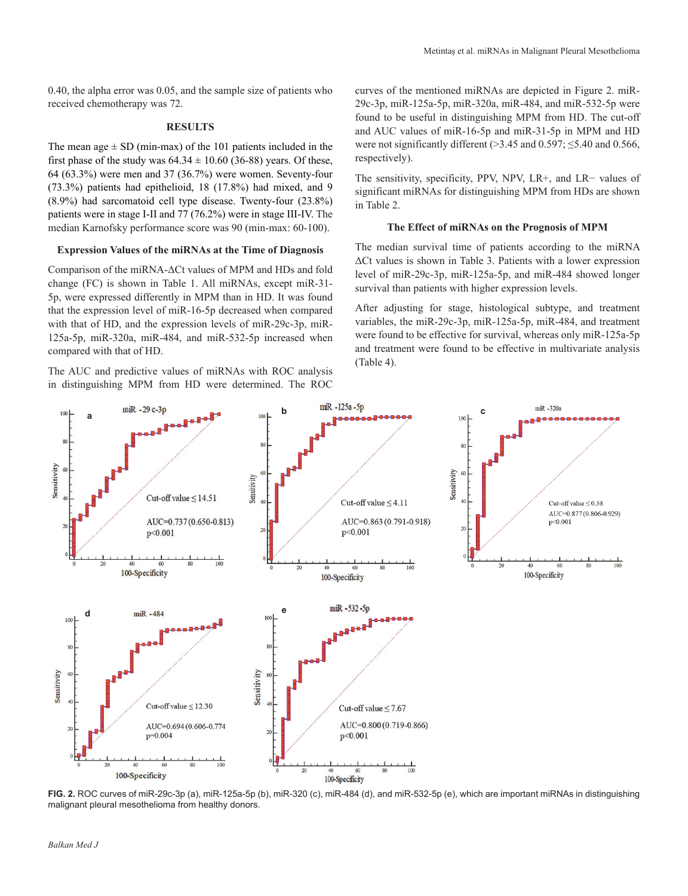0.40, the alpha error was 0.05, and the sample size of patients who received chemotherapy was 72.

# **RESULTS**

The mean age  $\pm$  SD (min-max) of the 101 patients included in the first phase of the study was  $64.34 \pm 10.60$  (36-88) years. Of these, 64 (63.3%) were men and 37 (36.7%) were women. Seventy-four (73.3%) patients had epithelioid, 18 (17.8%) had mixed, and 9 (8.9%) had sarcomatoid cell type disease. Twenty-four (23.8%) patients were in stage I-II and 77 (76.2%) were in stage III-IV. The median Karnofsky performance score was 90 (min-max: 60-100).

#### **Expression Values of the miRNAs at the Time of Diagnosis**

Comparison of the miRNA-ΔCt values of MPM and HDs and fold change (FC) is shown in Table 1. All miRNAs, except miR-31- 5p, were expressed differently in MPM than in HD. It was found that the expression level of miR-16-5p decreased when compared with that of HD, and the expression levels of miR-29c-3p, miR-125a-5p, miR-320a, miR-484, and miR-532-5p increased when compared with that of HD.

The AUC and predictive values of miRNAs with ROC analysis in distinguishing MPM from HD were determined. The ROC

curves of the mentioned miRNAs are depicted in Figure 2. miR-29c-3p, miR-125a-5p, miR-320a, miR-484, and miR-532-5p were found to be useful in distinguishing MPM from HD. The cut-off and AUC values of miR-16-5p and miR-31-5p in MPM and HD were not significantly different ( $>3.45$  and 0.597;  $\leq$ 5.40 and 0.566, respectively).

The sensitivity, specificity, PPV, NPV, LR+, and LR− values of significant miRNAs for distinguishing MPM from HDs are shown in Table 2.

# **The Effect of miRNAs on the Prognosis of MPM**

The median survival time of patients according to the miRNA ΔCt values is shown in Table 3. Patients with a lower expression level of miR-29c-3p, miR-125a-5p, and miR-484 showed longer survival than patients with higher expression levels.

After adjusting for stage, histological subtype, and treatment variables, the miR-29c-3p, miR-125a-5p, miR-484, and treatment were found to be effective for survival, whereas only miR-125a-5p and treatment were found to be effective in multivariate analysis (Table 4).



**FIG. 2.** ROC curves of miR-29c-3p (a), miR-125a-5p (b), miR-320 (c), miR-484 (d), and miR-532-5p (e), which are important miRNAs in distinguishing malignant pleural mesothelioma from healthy donors.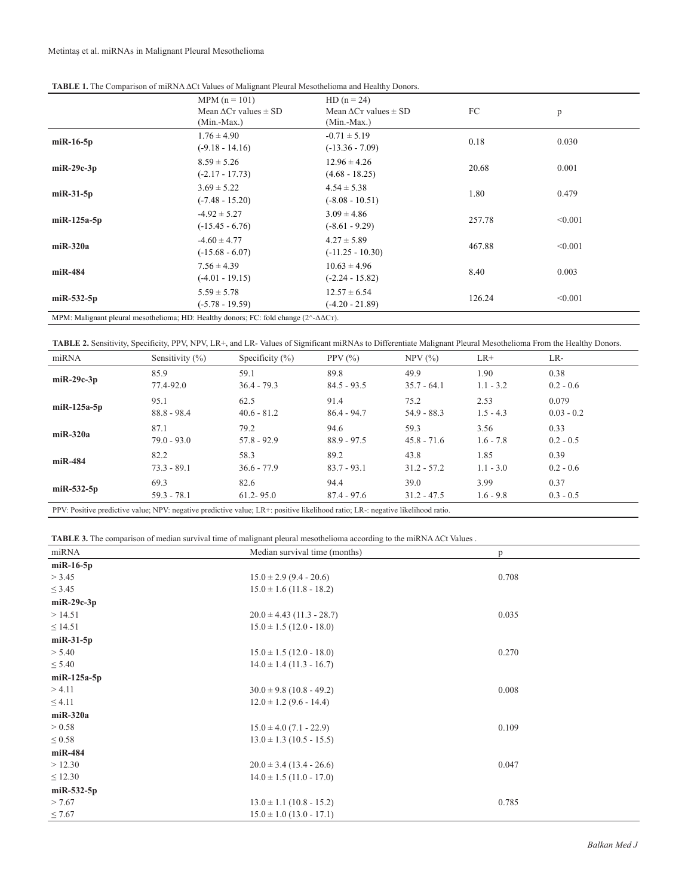| TABLE 1. The Comparison of miRNA ACt Values of Malignant Pleural Mesothelioma and Healthy Donors. |  |  |
|---------------------------------------------------------------------------------------------------|--|--|
|---------------------------------------------------------------------------------------------------|--|--|

|                | $MPM (n = 101)$<br>Mean $\Delta$ C <sub>T</sub> values $\pm$ SD<br>$(Min.-Max.)$                              | $HD(n = 24)$<br>Mean $\Delta$ C <sub>T</sub> values $\pm$ SD<br>$(Min-Max.)$ | FC     | p       |  |
|----------------|---------------------------------------------------------------------------------------------------------------|------------------------------------------------------------------------------|--------|---------|--|
| $miR-16-5p$    | $1.76 \pm 4.90$<br>$(-9.18 - 14.16)$                                                                          | $-0.71 \pm 5.19$<br>$(-13.36 - 7.09)$                                        | 0.18   | 0.030   |  |
| $miR-29c-3p$   | $8.59 \pm 5.26$<br>$(-2.17 - 17.73)$                                                                          | $12.96 \pm 4.26$<br>$(4.68 - 18.25)$                                         | 20.68  | 0.001   |  |
| $miR-31-5p$    | $3.69 \pm 5.22$<br>$(-7.48 - 15.20)$                                                                          | $4.54 \pm 5.38$<br>$(-8.08 - 10.51)$                                         | 1.80   | 0.479   |  |
| $m$ iR-125a-5p | $-4.92 \pm 5.27$<br>$(-15.45 - 6.76)$                                                                         | $3.09 \pm 4.86$<br>$(-8.61 - 9.29)$                                          | 257.78 | < 0.001 |  |
| $m$ iR-320a    | $-4.60 \pm 4.77$<br>$(-15.68 - 6.07)$                                                                         | $4.27 \pm 5.89$<br>$(-11.25 - 10.30)$                                        | 467.88 | < 0.001 |  |
| $m$ iR-484     | $7.56 \pm 4.39$<br>$(-4.01 - 19.15)$                                                                          | $10.63 \pm 4.96$<br>$(-2.24 - 15.82)$                                        | 8.40   | 0.003   |  |
| $miR-532-5p$   | $5.59 \pm 5.78$<br>$(-5.78 - 19.59)$                                                                          | $12.57 \pm 6.54$<br>$(-4.20 - 21.89)$                                        | 126.24 | < 0.001 |  |
|                | MPM: Malignant pleural mesothelioma; HD: Healthy donors; FC: fold change $(2^{\wedge} - \Delta \Delta C_T)$ . |                                                                              |        |         |  |

**TABLE 2.** Sensitivity, Specificity, PPV, NPV, LR+, and LR- Values of Significant miRNAs to Differentiate Malignant Pleural Mesothelioma From the Healthy Donors.

| miRNA         | Sensitivity $(\%)$                                                                                                              | Specificity $(\% )$ | PPV $(\% )$   | $NPV$ $(\% )$ | $LR+$       | LR-          |
|---------------|---------------------------------------------------------------------------------------------------------------------------------|---------------------|---------------|---------------|-------------|--------------|
| $miR-29c-3p$  | 85.9                                                                                                                            | 59.1                | 89.8          | 49.9          | 1.90        | 0.38         |
|               | 77.4-92.0                                                                                                                       | $36.4 - 79.3$       | $84.5 - 93.5$ | $35.7 - 64.1$ | $1.1 - 3.2$ | $0.2 - 0.6$  |
| $miR-125a-5p$ | 95.1                                                                                                                            | 62.5                | 91.4          | 75.2          | 2.53        | 0.079        |
|               | $88.8 - 98.4$                                                                                                                   | $40.6 - 81.2$       | $86.4 - 94.7$ | $54.9 - 88.3$ | $1.5 - 4.3$ | $0.03 - 0.2$ |
| $miR-320a$    | 87.1                                                                                                                            | 79.2                | 94.6          | 59.3          | 3.56        | 0.33         |
|               | $79.0 - 93.0$                                                                                                                   | $57.8 - 92.9$       | $88.9 - 97.5$ | $45.8 - 71.6$ | $1.6 - 7.8$ | $0.2 - 0.5$  |
|               | 82.2                                                                                                                            | 58.3                | 89.2          | 43.8          | 1.85        | 0.39         |
| $miR-484$     | $73.3 - 89.1$                                                                                                                   | $36.6 - 77.9$       | $83.7 - 93.1$ | $31.2 - 57.2$ | $1.1 - 3.0$ | $0.2 - 0.6$  |
| $miR-532-5p$  | 69.3                                                                                                                            | 82.6                | 94.4          | 39.0          | 3.99        | 0.37         |
|               | $59.3 - 78.1$                                                                                                                   | $61.2 - 95.0$       | $87.4 - 97.6$ | $31.2 - 47.5$ | $1.6 - 9.8$ | $0.3 - 0.5$  |
|               | PPV: Positive predictive value; NPV: negative predictive value; LR+: positive likelihood ratio; LR-: negative likelihood ratio. |                     |               |               |             |              |

**TABLE 3.** The comparison of median survival time of malignant pleural mesothelioma according to the miRNA ΔCt Values .

| miRNA            | Median survival time (months) | p     |
|------------------|-------------------------------|-------|
| $miR-16-5p$      |                               |       |
| > 3.45           | $15.0 \pm 2.9$ (9.4 - 20.6)   | 0.708 |
| $\leq$ 3.45      | $15.0 \pm 1.6$ (11.8 - 18.2)  |       |
| $m$ i $R-29c-3p$ |                               |       |
| >14.51           | $20.0 \pm 4.43$ (11.3 - 28.7) | 0.035 |
| $\leq$ 14.51     | $15.0 \pm 1.5$ (12.0 - 18.0)  |       |
| $miR-31-5p$      |                               |       |
| > 5.40           | $15.0 \pm 1.5$ (12.0 - 18.0)  | 0.270 |
| $\leq 5.40$      | $14.0 \pm 1.4$ (11.3 - 16.7)  |       |
| $m$ iR-125a-5p   |                               |       |
| > 4.11           | $30.0 \pm 9.8$ (10.8 - 49.2)  | 0.008 |
| $\leq 4.11$      | $12.0 \pm 1.2$ (9.6 - 14.4)   |       |
| $m$ iR-320a      |                               |       |
| > 0.58           | $15.0 \pm 4.0$ (7.1 - 22.9)   | 0.109 |
| $\leq 0.58$      | $13.0 \pm 1.3$ (10.5 - 15.5)  |       |
| miR-484          |                               |       |
| >12.30           | $20.0 \pm 3.4$ (13.4 - 26.6)  | 0.047 |
| $\leq 12.30$     | $14.0 \pm 1.5$ (11.0 - 17.0)  |       |
| $miR-532-5p$     |                               |       |
| > 7.67           | $13.0 \pm 1.1$ (10.8 - 15.2)  | 0.785 |
| $\leq 7.67$      | $15.0 \pm 1.0$ (13.0 - 17.1)  |       |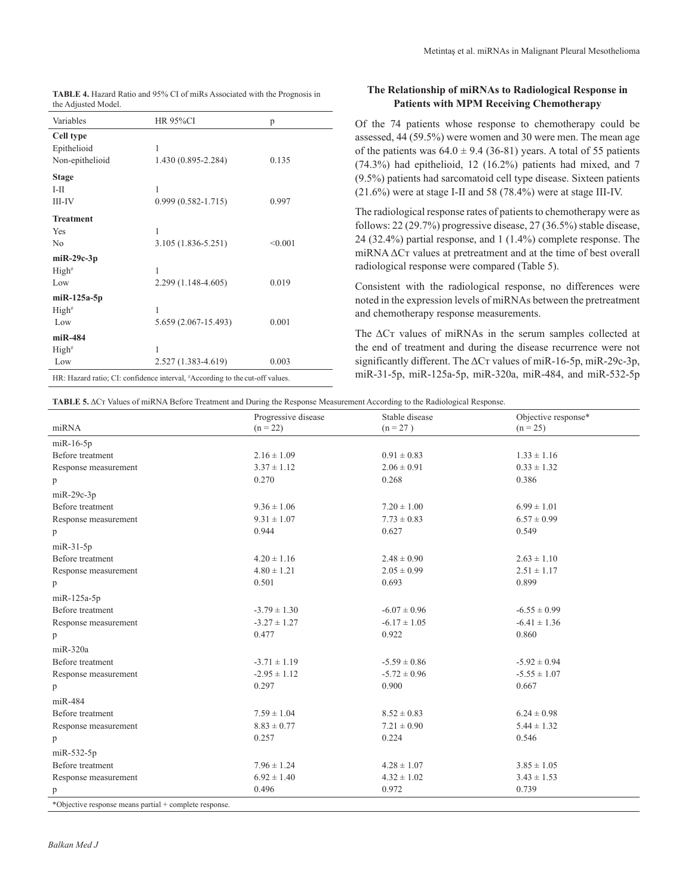| Metintas et al. miRNAs in Malignant Pleural Mesothelioma |  |  |
|----------------------------------------------------------|--|--|
|----------------------------------------------------------|--|--|

| <b>TABLE 4.</b> Hazard Ratio and 95% CI of miRs Associated with the Prognosis in |
|----------------------------------------------------------------------------------|
| the Adjusted Model.                                                              |

| Variables                                                                    | <b>HR 95%CI</b>          | p       |  |
|------------------------------------------------------------------------------|--------------------------|---------|--|
| Cell type<br>Epithelioid<br>Non-epithelioid                                  | 1<br>1.430 (0.895-2.284) | 0.135   |  |
| <b>Stage</b><br>$I-II$                                                       | 1                        |         |  |
| III-IV                                                                       | $0.999(0.582 - 1.715)$   | 0.997   |  |
| <b>Treatment</b>                                                             |                          |         |  |
| Yes                                                                          | 1                        |         |  |
| No                                                                           | $3.105(1.836 - 5.251)$   | < 0.001 |  |
| $miR-29c-3p$                                                                 |                          |         |  |
| High <sup>#</sup>                                                            | 1                        |         |  |
| Low                                                                          | 2.299 (1.148-4.605)      | 0.019   |  |
| $m$ iR-125a-5p                                                               |                          |         |  |
| $High*$                                                                      | 1                        |         |  |
| Low                                                                          | 5.659 (2.067-15.493)     | 0.001   |  |
| $miR-484$                                                                    |                          |         |  |
| $High*$                                                                      | 1                        |         |  |
| Low                                                                          | 2.527 (1.383-4.619)      | 0.003   |  |
| HR: Hazard ratio; CI: confidence interval, #According to the cut-off values. |                          |         |  |

# **The Relationship of miRNAs to Radiological Response in Patients with MPM Receiving Chemotherapy**

Of the 74 patients whose response to chemotherapy could be assessed, 44 (59.5%) were women and 30 were men. The mean age of the patients was  $64.0 \pm 9.4$  (36-81) years. A total of 55 patients (74.3%) had epithelioid, 12 (16.2%) patients had mixed, and 7 (9.5%) patients had sarcomatoid cell type disease. Sixteen patients (21.6%) were at stage I-II and 58 (78.4%) were at stage III-IV.

The radiological response rates of patients to chemotherapy were as follows: 22 (29.7%) progressive disease, 27 (36.5%) stable disease, 24 (32.4%) partial response, and 1 (1.4%) complete response. The miRNA ΔCт values at pretreatment and at the time of best overall radiological response were compared (Table 5).

Consistent with the radiological response, no differences were noted in the expression levels of miRNAs between the pretreatment and chemotherapy response measurements.

The ΔCт values of miRNAs in the serum samples collected at the end of treatment and during the disease recurrence were not significantly different. The ΔCт values of miR-16-5p, miR-29c-3p, miR-31-5p, miR-125a-5p, miR-320a, miR-484, and miR-532-5p

**TABLE 5.** ΔCт Values of miRNA Before Treatment and During the Response Measurement According to the Radiological Response.

|                                                        | Progressive disease | Stable disease   | Objective response* |
|--------------------------------------------------------|---------------------|------------------|---------------------|
| miRNA                                                  | $(n = 22)$          | $(n = 27)$       | $(n = 25)$          |
| $m$ i $R-16-5p$                                        |                     |                  |                     |
| Before treatment                                       | $2.16 \pm 1.09$     | $0.91 \pm 0.83$  | $1.33 \pm 1.16$     |
| Response measurement                                   | $3.37 \pm 1.12$     | $2.06 \pm 0.91$  | $0.33 \pm 1.32$     |
| p                                                      | 0.270               | 0.268            | 0.386               |
| $m$ i $R-29c-3p$                                       |                     |                  |                     |
| Before treatment                                       | $9.36 \pm 1.06$     | $7.20 \pm 1.00$  | $6.99 \pm 1.01$     |
| Response measurement                                   | $9.31 \pm 1.07$     | $7.73 \pm 0.83$  | $6.57 \pm 0.99$     |
| p                                                      | 0.944               | 0.627            | 0.549               |
| $m$ i $R-31-5p$                                        |                     |                  |                     |
| Before treatment                                       | $4.20 \pm 1.16$     | $2.48 \pm 0.90$  | $2.63 \pm 1.10$     |
| Response measurement                                   | $4.80 \pm 1.21$     | $2.05 \pm 0.99$  | $2.51 \pm 1.17$     |
| p                                                      | 0.501               | 0.693            | 0.899               |
| miR-125a-5p                                            |                     |                  |                     |
| Before treatment                                       | $-3.79 \pm 1.30$    | $-6.07 \pm 0.96$ | $-6.55 \pm 0.99$    |
| Response measurement                                   | $-3.27 \pm 1.27$    | $-6.17 \pm 1.05$ | $-6.41 \pm 1.36$    |
| p                                                      | 0.477               | 0.922            | 0.860               |
| $miR-320a$                                             |                     |                  |                     |
| Before treatment                                       | $-3.71 \pm 1.19$    | $-5.59 \pm 0.86$ | $-5.92 \pm 0.94$    |
| Response measurement                                   | $-2.95 \pm 1.12$    | $-5.72 \pm 0.96$ | $-5.55 \pm 1.07$    |
| p                                                      | 0.297               | 0.900            | 0.667               |
| miR-484                                                |                     |                  |                     |
| Before treatment                                       | $7.59 \pm 1.04$     | $8.52 \pm 0.83$  | $6.24 \pm 0.98$     |
| Response measurement                                   | $8.83 \pm 0.77$     | $7.21 \pm 0.90$  | $5.44 \pm 1.32$     |
| p                                                      | 0.257               | 0.224            | 0.546               |
| $m$ iR-532-5p                                          |                     |                  |                     |
| Before treatment                                       | $7.96 \pm 1.24$     | $4.28 \pm 1.07$  | $3.85 \pm 1.05$     |
| Response measurement                                   | $6.92 \pm 1.40$     | $4.32 \pm 1.02$  | $3.43 \pm 1.53$     |
| p                                                      | 0.496               | 0.972            | 0.739               |
| *Objective response means partial + complete response. |                     |                  |                     |

*Balkan Med J,*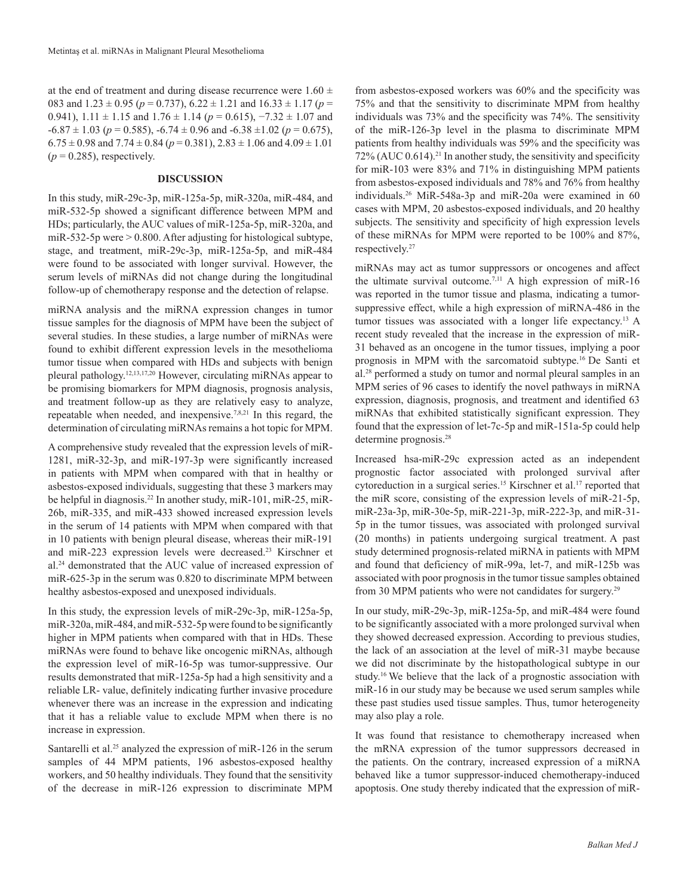at the end of treatment and during disease recurrence were  $1.60 \pm$ 083 and  $1.23 \pm 0.95$  ( $p = 0.737$ ),  $6.22 \pm 1.21$  and  $16.33 \pm 1.17$  ( $p =$ 0.941),  $1.11 \pm 1.15$  and  $1.76 \pm 1.14$  ( $p = 0.615$ ),  $-7.32 \pm 1.07$  and  $-6.87 \pm 1.03$  ( $p = 0.585$ ),  $-6.74 \pm 0.96$  and  $-6.38 \pm 1.02$  ( $p = 0.675$ ),  $6.75 \pm 0.98$  and  $7.74 \pm 0.84$  ( $p = 0.381$ ),  $2.83 \pm 1.06$  and  $4.09 \pm 1.01$  $(p = 0.285)$ , respectively.

#### **DISCUSSION**

In this study, miR-29c-3p, miR-125a-5p, miR-320a, miR-484, and miR-532-5p showed a significant difference between MPM and HDs; particularly, the AUC values of miR-125a-5p, miR-320a, and miR-532-5p were  $> 0.800$ . After adjusting for histological subtype, stage, and treatment, miR-29c-3p, miR-125a-5p, and miR-484 were found to be associated with longer survival. However, the serum levels of miRNAs did not change during the longitudinal follow-up of chemotherapy response and the detection of relapse.

miRNA analysis and the miRNA expression changes in tumor tissue samples for the diagnosis of MPM have been the subject of several studies. In these studies, a large number of miRNAs were found to exhibit different expression levels in the mesothelioma tumor tissue when compared with HDs and subjects with benign pleural pathology.12,13,17,20 However, circulating miRNAs appear to be promising biomarkers for MPM diagnosis, prognosis analysis, and treatment follow-up as they are relatively easy to analyze, repeatable when needed, and inexpensive.7,8,21 In this regard, the determination of circulating miRNAs remains a hot topic for MPM.

A comprehensive study revealed that the expression levels of miR-1281, miR-32-3p, and miR-197-3p were significantly increased in patients with MPM when compared with that in healthy or asbestos-exposed individuals, suggesting that these 3 markers may be helpful in diagnosis.<sup>22</sup> In another study, miR-101, miR-25, miR-26b, miR-335, and miR-433 showed increased expression levels in the serum of 14 patients with MPM when compared with that in 10 patients with benign pleural disease, whereas their miR-191 and miR-223 expression levels were decreased.<sup>23</sup> Kirschner et al.24 demonstrated that the AUC value of increased expression of miR-625-3p in the serum was 0.820 to discriminate MPM between healthy asbestos-exposed and unexposed individuals.

In this study, the expression levels of miR-29c-3p, miR-125a-5p, miR-320a, miR-484, and miR-532-5p were found to be significantly higher in MPM patients when compared with that in HDs. These miRNAs were found to behave like oncogenic miRNAs, although the expression level of miR-16-5p was tumor-suppressive. Our results demonstrated that miR-125a-5p had a high sensitivity and a reliable LR- value, definitely indicating further invasive procedure whenever there was an increase in the expression and indicating that it has a reliable value to exclude MPM when there is no increase in expression.

Santarelli et al.<sup>25</sup> analyzed the expression of miR-126 in the serum samples of 44 MPM patients, 196 asbestos-exposed healthy workers, and 50 healthy individuals. They found that the sensitivity of the decrease in miR-126 expression to discriminate MPM

from asbestos-exposed workers was 60% and the specificity was 75% and that the sensitivity to discriminate MPM from healthy individuals was 73% and the specificity was 74%. The sensitivity of the miR-126-3p level in the plasma to discriminate MPM patients from healthy individuals was 59% and the specificity was  $72\%$  (AUC 0.614).<sup>21</sup> In another study, the sensitivity and specificity for miR-103 were 83% and 71% in distinguishing MPM patients from asbestos-exposed individuals and 78% and 76% from healthy individuals.26 MiR-548a-3p and miR-20a were examined in 60 cases with MPM, 20 asbestos-exposed individuals, and 20 healthy subjects. The sensitivity and specificity of high expression levels of these miRNAs for MPM were reported to be 100% and 87%, respectively.<sup>27</sup>

miRNAs may act as tumor suppressors or oncogenes and affect the ultimate survival outcome.<sup>7,11</sup> A high expression of miR-16 was reported in the tumor tissue and plasma, indicating a tumorsuppressive effect, while a high expression of miRNA-486 in the tumor tissues was associated with a longer life expectancy.<sup>13</sup> A recent study revealed that the increase in the expression of miR-31 behaved as an oncogene in the tumor tissues, implying a poor prognosis in MPM with the sarcomatoid subtype.16 De Santi et al.28 performed a study on tumor and normal pleural samples in an MPM series of 96 cases to identify the novel pathways in miRNA expression, diagnosis, prognosis, and treatment and identified 63 miRNAs that exhibited statistically significant expression. They found that the expression of let-7c-5p and miR-151a-5p could help determine prognosis.28

Increased hsa-miR-29c expression acted as an independent prognostic factor associated with prolonged survival after cytoreduction in a surgical series.<sup>15</sup> Kirschner et al.<sup>17</sup> reported that the miR score, consisting of the expression levels of miR-21-5p, miR-23a-3p, miR-30e-5p, miR-221-3p, miR-222-3p, and miR-31- 5p in the tumor tissues, was associated with prolonged survival (20 months) in patients undergoing surgical treatment. A past study determined prognosis-related miRNA in patients with MPM and found that deficiency of miR-99a, let-7, and miR-125b was associated with poor prognosis in the tumor tissue samples obtained from 30 MPM patients who were not candidates for surgery.<sup>29</sup>

In our study, miR-29c-3p, miR-125a-5p, and miR-484 were found to be significantly associated with a more prolonged survival when they showed decreased expression. According to previous studies, the lack of an association at the level of miR-31 maybe because we did not discriminate by the histopathological subtype in our study.<sup>16</sup> We believe that the lack of a prognostic association with miR-16 in our study may be because we used serum samples while these past studies used tissue samples. Thus, tumor heterogeneity may also play a role.

It was found that resistance to chemotherapy increased when the mRNA expression of the tumor suppressors decreased in the patients. On the contrary, increased expression of a miRNA behaved like a tumor suppressor-induced chemotherapy-induced apoptosis. One study thereby indicated that the expression of miR-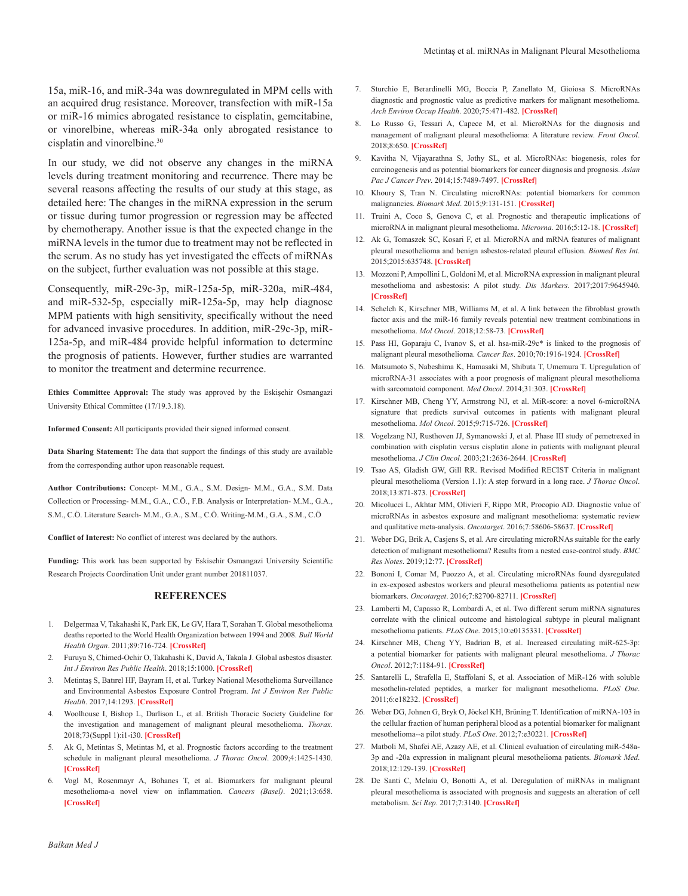15a, miR-16, and miR-34a was downregulated in MPM cells with an acquired drug resistance. Moreover, transfection with miR-15a or miR-16 mimics abrogated resistance to cisplatin, gemcitabine, or vinorelbine, whereas miR-34a only abrogated resistance to cisplatin and vinorelbine.<sup>30</sup>

In our study, we did not observe any changes in the miRNA levels during treatment monitoring and recurrence. There may be several reasons affecting the results of our study at this stage, as detailed here: The changes in the miRNA expression in the serum or tissue during tumor progression or regression may be affected by chemotherapy. Another issue is that the expected change in the miRNA levels in the tumor due to treatment may not be reflected in the serum. As no study has yet investigated the effects of miRNAs on the subject, further evaluation was not possible at this stage.

Consequently, miR-29c-3p, miR-125a-5p, miR-320a, miR-484, and miR-532-5p, especially miR-125a-5p, may help diagnose MPM patients with high sensitivity, specifically without the need for advanced invasive procedures. In addition, miR-29c-3p, miR-125a-5p, and miR-484 provide helpful information to determine the prognosis of patients. However, further studies are warranted to monitor the treatment and determine recurrence.

**Ethics Committee Approval:** The study was approved by the Eskişehir Osmangazi University Ethical Committee (17/19.3.18).

**Informed Consent:** All participants provided their signed informed consent.

**Data Sharing Statement:** The data that support the findings of this study are available from the corresponding author upon reasonable request.

**Author Contributions:** Concept- M.M., G.A., S.M. Design- M.M., G.A., S.M. Data Collection or Processing- M.M., G.A., C.Ö., F.B. Analysis or Interpretation- M.M., G.A., S.M., C.Ö. Literature Search- M.M., G.A., S.M., C.Ö. Writing-M.M., G.A., S.M., C.Ö

**Conflict of Interest:** No conflict of interest was declared by the authors.

**Funding:** This work has been supported by Eskisehir Osmangazi University Scientific Research Projects Coordination Unit under grant number 201811037.

#### **REFERENCES**

- 1. Delgermaa V, Takahashi K, Park EK, Le GV, Hara T, Sorahan T. Global mesothelioma deaths reported to the World Health Organization between 1994 and 2008. *Bull World Health Organ*. 2011;89:716-724. **[CrossRef]**
- 2. Furuya S, Chimed-Ochir O, Takahashi K, David A, Takala J. Global asbestos disaster. *Int J Environ Res Public Health*. 2018;15:1000. **[CrossRef]**
- 3. Metintaş S, Batırel HF, Bayram H, et al. Turkey National Mesothelioma Surveillance and Environmental Asbestos Exposure Control Program. *Int J Environ Res Public Health*. 2017;14:1293. **[CrossRef]**
- 4. Woolhouse I, Bishop L, Darlison L, et al. British Thoracic Society Guideline for the investigation and management of malignant pleural mesothelioma. *Thorax*. 2018;73(Suppl 1):i1-i30. **[CrossRef]**
- 5. Ak G, Metintas S, Metintas M, et al. Prognostic factors according to the treatment schedule in malignant pleural mesothelioma. *J Thorac Oncol*. 2009;4:1425-1430. **[CrossRef]**
- 6. Vogl M, Rosenmayr A, Bohanes T, et al. Biomarkers for malignant pleural mesothelioma-a novel view on inflammation. *Cancers (Basel)*. 2021;13:658. **[CrossRef]**
- 7. Sturchio E, Berardinelli MG, Boccia P, Zanellato M, Gioiosa S. MicroRNAs diagnostic and prognostic value as predictive markers for malignant mesothelioma. *Arch Environ Occup Health*. 2020;75:471-482. **[CrossRef]**
- 8. Lo Russo G, Tessari A, Capece M, et al. MicroRNAs for the diagnosis and management of malignant pleural mesothelioma: A literature review. *Front Oncol*. 2018;8:650. **[CrossRef]**
- 9. Kavitha N, Vijayarathna S, Jothy SL, et al. MicroRNAs: biogenesis, roles for carcinogenesis and as potential biomarkers for cancer diagnosis and prognosis. *Asian Pac J Cancer Prev*. 2014;15:7489-7497. **[CrossRef]**
- 10. Khoury S, Tran N. Circulating microRNAs: potential biomarkers for common malignancies. *Biomark Med*. 2015;9:131-151. **[CrossRef]**
- 11. Truini A, Coco S, Genova C, et al. Prognostic and therapeutic implications of microRNA in malignant pleural mesothelioma. *Microrna*. 2016;5:12-18. **[CrossRef]**
- 12. Ak G, Tomaszek SC, Kosari F, et al. MicroRNA and mRNA features of malignant pleural mesothelioma and benign asbestos-related pleural effusion. *Biomed Res Int*. 2015;2015:635748. **[CrossRef]**
- 13. Mozzoni P, Ampollini L, Goldoni M, et al. MicroRNA expression in malignant pleural mesothelioma and asbestosis: A pilot study. *Dis Markers*. 2017;2017:9645940. **[CrossRef]**
- 14. Schelch K, Kirschner MB, Williams M, et al. A link between the fibroblast growth factor axis and the miR-16 family reveals potential new treatment combinations in mesothelioma. *Mol Oncol*. 2018;12:58-73. **[CrossRef]**
- 15. Pass HI, Goparaju C, Ivanov S, et al. hsa-miR-29c\* is linked to the prognosis of malignant pleural mesothelioma. *Cancer Res*. 2010;70:1916-1924. **[CrossRef]**
- 16. Matsumoto S, Nabeshima K, Hamasaki M, Shibuta T, Umemura T. Upregulation of microRNA-31 associates with a poor prognosis of malignant pleural mesothelioma with sarcomatoid component. *Med Oncol*. 2014;31:303. **[CrossRef]**
- 17. Kirschner MB, Cheng YY, Armstrong NJ, et al. MiR-score: a novel 6-microRNA signature that predicts survival outcomes in patients with malignant pleural mesothelioma. *Mol Oncol*. 2015;9:715-726. **[CrossRef]**
- 18. Vogelzang NJ, Rusthoven JJ, Symanowski J, et al. Phase III study of pemetrexed in combination with cisplatin versus cisplatin alone in patients with malignant pleural mesothelioma. *J Clin Oncol*. 2003;21:2636-2644. **[CrossRef]**
- 19. Tsao AS, Gladish GW, Gill RR. Revised Modified RECIST Criteria in malignant pleural mesothelioma (Version 1.1): A step forward in a long race. *J Thorac Oncol*. 2018;13:871-873. **[CrossRef]**
- 20. Micolucci L, Akhtar MM, Olivieri F, Rippo MR, Procopio AD. Diagnostic value of microRNAs in asbestos exposure and malignant mesothelioma: systematic review and qualitative meta-analysis. *Oncotarget*. 2016;7:58606-58637. **[CrossRef]**
- 21. Weber DG, Brik A, Casjens S, et al. Are circulating microRNAs suitable for the early detection of malignant mesothelioma? Results from a nested case-control study. *BMC Res Notes*. 2019;12:77. **[CrossRef]**
- 22. Bononi I, Comar M, Puozzo A, et al. Circulating microRNAs found dysregulated in ex-exposed asbestos workers and pleural mesothelioma patients as potential new biomarkers. *Oncotarget*. 2016;7:82700-82711. **[CrossRef]**
- 23. Lamberti M, Capasso R, Lombardi A, et al. Two different serum miRNA signatures correlate with the clinical outcome and histological subtype in pleural malignant mesothelioma patients. *PLoS One*. 2015;10:e0135331. **[CrossRef]**
- 24. Kirschner MB, Cheng YY, Badrian B, et al. Increased circulating miR-625-3p: a potential biomarker for patients with malignant pleural mesothelioma. *J Thorac Oncol*. 2012;7:1184-91. **[CrossRef]**
- 25. Santarelli L, Strafella E, Staffolani S, et al. Association of MiR-126 with soluble mesothelin-related peptides, a marker for malignant mesothelioma. *PLoS One*. 2011;6:e18232. **[CrossRef]**
- 26. Weber DG, Johnen G, Bryk O, Jöckel KH, Brüning T. Identification of miRNA-103 in the cellular fraction of human peripheral blood as a potential biomarker for malignant mesothelioma--a pilot study. *PLoS One*. 2012;7:e30221. **[CrossRef]**
- 27. Matboli M, Shafei AE, Azazy AE, et al. Clinical evaluation of circulating miR-548a-3p and -20a expression in malignant pleural mesothelioma patients. *Biomark Med*. 2018;12:129-139. **[CrossRef]**
- 28. De Santi C, Melaiu O, Bonotti A, et al. Deregulation of miRNAs in malignant pleural mesothelioma is associated with prognosis and suggests an alteration of cell metabolism. *Sci Rep*. 2017;7:3140. **[CrossRef]**